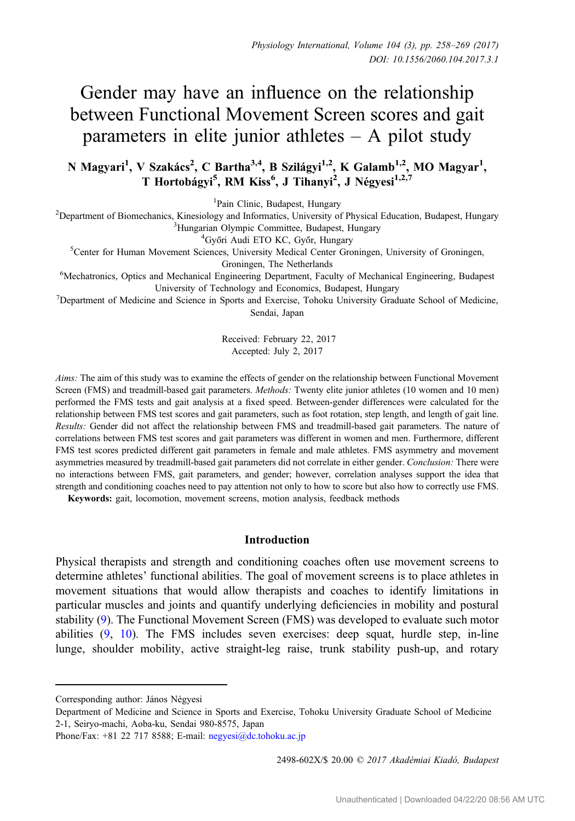# Gender may have an influence on the relationship between Functional Movement Screen scores and gait parameters in elite junior athletes  $- A$  pilot study

N Magyari<sup>1</sup>, V Szakács<sup>2</sup>, C Bartha<sup>3,4</sup>, B Szilágyi<sup>1,2</sup>, K Galamb<sup>1,2</sup>, MO Magyar<sup>1</sup>, T Hortobágyi<sup>5</sup>, RM Kiss<sup>6</sup>, J Tihanyi<sup>2</sup>, J Négyesi<sup>1,2,7</sup>

<sup>1</sup>Pain Clinic, Budapest, Hungary

Pain Clinic, Budapest, Hungary'<br>Penartment of Biomechanics, Kinesiology and Informatics, University of Department of Biomechanics, Kinesiology and Informatics, University of Physical Education, Budapest, Hungary<br><sup>3</sup>Hungarian Olympic Committee, Budapest, Hungary <sup>3</sup>Hungarian Olympic Committee, Budapest, Hungary <sup>4</sup>Győri Audi ETO KC, Győr, Hungary

Győri Audi ETO KC, Győr, Hungary <sup>5</sup> Center for Human Movement Sciences, University Medical Center Groningen, University of Groningen,

Groningen, The Netherlands<br>Mechatronics, Optics and Mechanical Engineering Department, Faculty of Mechanical Engineering, Budapest<sup>6</sup>

University of Technology and Economics, Budapest, Hungary<br><sup>7</sup>Department of Medicine and Science in Sports and Exercise, Tohoku University Graduate School of Medicine, Sendai, Japan

> Received: February 22, 2017 Accepted: July 2, 2017

Aims: The aim of this study was to examine the effects of gender on the relationship between Functional Movement Screen (FMS) and treadmill-based gait parameters. Methods: Twenty elite junior athletes (10 women and 10 men) performed the FMS tests and gait analysis at a fixed speed. Between-gender differences were calculated for the relationship between FMS test scores and gait parameters, such as foot rotation, step length, and length of gait line. Results: Gender did not affect the relationship between FMS and treadmill-based gait parameters. The nature of correlations between FMS test scores and gait parameters was different in women and men. Furthermore, different FMS test scores predicted different gait parameters in female and male athletes. FMS asymmetry and movement asymmetries measured by treadmill-based gait parameters did not correlate in either gender. Conclusion: There were no interactions between FMS, gait parameters, and gender; however, correlation analyses support the idea that strength and conditioning coaches need to pay attention not only to how to score but also how to correctly use FMS.

Keywords: gait, locomotion, movement screens, motion analysis, feedback methods

## Introduction

Physical therapists and strength and conditioning coaches often use movement screens to determine athletes' functional abilities. The goal of movement screens is to place athletes in movement situations that would allow therapists and coaches to identify limitations in particular muscles and joints and quantify underlying deficiencies in mobility and postural stability [\(9](#page-10-0)). The Functional Movement Screen (FMS) was developed to evaluate such motor abilities [\(9](#page-10-0), [10](#page-10-0)). The FMS includes seven exercises: deep squat, hurdle step, in-line lunge, shoulder mobility, active straight-leg raise, trunk stability push-up, and rotary

2498-602X/\$ 20.00 C 2017 Akadémiai Kiadó, Budapest

Corresponding author: János Négyesi

Department of Medicine and Science in Sports and Exercise, Tohoku University Graduate School of Medicine 2-1, Seiryo-machi, Aoba-ku, Sendai 980-8575, Japan

Phone/Fax:  $+81$  22 717 8588; E-mail: [negyesi@dc.tohoku.ac.jp](mailto:negyesi@dc.tohoku.ac.jp)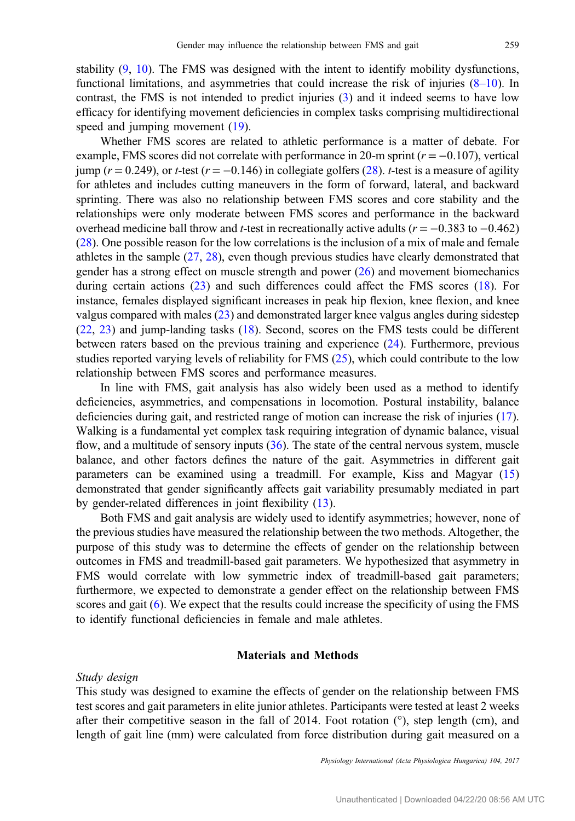stability [\(9,](#page-10-0) [10](#page-10-0)). The FMS was designed with the intent to identify mobility dysfunctions, functional limitations, and asymmetries that could increase the risk of injuries  $(8-10)$  $(8-10)$  $(8-10)$ . In contrast, the FMS is not intended to predict injuries ([3\)](#page-10-0) and it indeed seems to have low efficacy for identifying movement deficiencies in complex tasks comprising multidirectional speed and jumping movement  $(19)$  $(19)$ .

Whether FMS scores are related to athletic performance is a matter of debate. For example, FMS scores did not correlate with performance in 20-m sprint ( $r = -0.107$ ), vertical jump ( $r = 0.249$ ), or t-test ( $r = -0.146$ ) in collegiate golfers [\(28](#page-10-0)). t-test is a measure of agility for athletes and includes cutting maneuvers in the form of forward, lateral, and backward sprinting. There was also no relationship between FMS scores and core stability and the relationships were only moderate between FMS scores and performance in the backward overhead medicine ball throw and t-test in recreationally active adults ( $r = -0.383$  to  $-0.462$ ) [\(28](#page-10-0)). One possible reason for the low correlations is the inclusion of a mix of male and female athletes in the sample [\(27](#page-10-0), [28](#page-10-0)), even though previous studies have clearly demonstrated that gender has a strong effect on muscle strength and power ([26\)](#page-10-0) and movement biomechanics during certain actions ([23\)](#page-10-0) and such differences could affect the FMS scores ([18\)](#page-10-0). For instance, females displayed significant increases in peak hip flexion, knee flexion, and knee valgus compared with males ([23\)](#page-10-0) and demonstrated larger knee valgus angles during sidestep [\(22](#page-10-0), [23](#page-10-0)) and jump-landing tasks ([18\)](#page-10-0). Second, scores on the FMS tests could be different between raters based on the previous training and experience ([24\)](#page-10-0). Furthermore, previous studies reported varying levels of reliability for FMS ([25](#page-10-0)), which could contribute to the low relationship between FMS scores and performance measures.

In line with FMS, gait analysis has also widely been used as a method to identify deficiencies, asymmetries, and compensations in locomotion. Postural instability, balance deficiencies during gait, and restricted range of motion can increase the risk of injuries [\(17](#page-10-0)). Walking is a fundamental yet complex task requiring integration of dynamic balance, visual flow, and a multitude of sensory inputs ([36\)](#page-11-0). The state of the central nervous system, muscle balance, and other factors defines the nature of the gait. Asymmetries in different gait parameters can be examined using a treadmill. For example, Kiss and Magyar ([15\)](#page-10-0) demonstrated that gender significantly affects gait variability presumably mediated in part by gender-related differences in joint flexibility [\(13](#page-10-0)).

Both FMS and gait analysis are widely used to identify asymmetries; however, none of the previous studies have measured the relationship between the two methods. Altogether, the purpose of this study was to determine the effects of gender on the relationship between outcomes in FMS and treadmill-based gait parameters. We hypothesized that asymmetry in FMS would correlate with low symmetric index of treadmill-based gait parameters; furthermore, we expected to demonstrate a gender effect on the relationship between FMS scores and gait [\(6](#page-10-0)). We expect that the results could increase the specificity of using the FMS to identify functional deficiencies in female and male athletes.

## Materials and Methods

#### Study design

This study was designed to examine the effects of gender on the relationship between FMS test scores and gait parameters in elite junior athletes. Participants were tested at least 2 weeks after their competitive season in the fall of 2014. Foot rotation (°), step length (cm), and length of gait line (mm) were calculated from force distribution during gait measured on a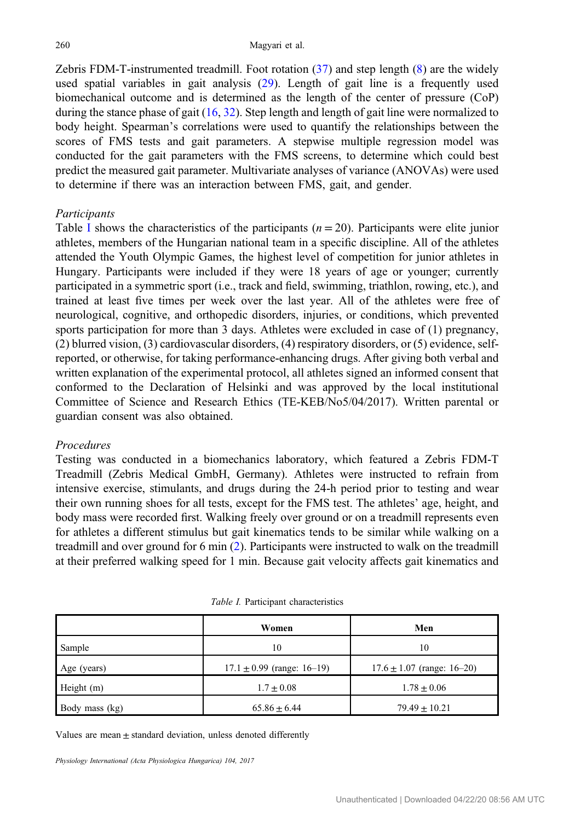Zebris FDM-T-instrumented treadmill. Foot rotation ([37\)](#page-11-0) and step length ([8](#page-10-0)) are the widely used spatial variables in gait analysis ([29\)](#page-10-0). Length of gait line is a frequently used biomechanical outcome and is determined as the length of the center of pressure (CoP) during the stance phase of gait [\(16](#page-10-0), [32](#page-11-0)). Step length and length of gait line were normalized to body height. Spearman's correlations were used to quantify the relationships between the scores of FMS tests and gait parameters. A stepwise multiple regression model was conducted for the gait parameters with the FMS screens, to determine which could best predict the measured gait parameter. Multivariate analyses of variance (ANOVAs) were used to determine if there was an interaction between FMS, gait, and gender.

# Participants

Table I shows the characteristics of the participants ( $n = 20$ ). Participants were elite junior athletes, members of the Hungarian national team in a specific discipline. All of the athletes attended the Youth Olympic Games, the highest level of competition for junior athletes in Hungary. Participants were included if they were 18 years of age or younger; currently participated in a symmetric sport (i.e., track and field, swimming, triathlon, rowing, etc.), and trained at least five times per week over the last year. All of the athletes were free of neurological, cognitive, and orthopedic disorders, injuries, or conditions, which prevented sports participation for more than 3 days. Athletes were excluded in case of (1) pregnancy, (2) blurred vision, (3) cardiovascular disorders, (4) respiratory disorders, or (5) evidence, selfreported, or otherwise, for taking performance-enhancing drugs. After giving both verbal and written explanation of the experimental protocol, all athletes signed an informed consent that conformed to the Declaration of Helsinki and was approved by the local institutional Committee of Science and Research Ethics (TE-KEB/No5/04/2017). Written parental or guardian consent was also obtained.

# Procedures

Testing was conducted in a biomechanics laboratory, which featured a Zebris FDM-T Treadmill (Zebris Medical GmbH, Germany). Athletes were instructed to refrain from intensive exercise, stimulants, and drugs during the 24-h period prior to testing and wear their own running shoes for all tests, except for the FMS test. The athletes' age, height, and body mass were recorded first. Walking freely over ground or on a treadmill represents even for athletes a different stimulus but gait kinematics tends to be similar while walking on a treadmill and over ground for 6 min ([2\)](#page-9-0). Participants were instructed to walk on the treadmill at their preferred walking speed for 1 min. Because gait velocity affects gait kinematics and

|                | Women                          | Men                            |
|----------------|--------------------------------|--------------------------------|
| Sample         | 10                             | 10                             |
| Age (years)    | $17.1 \pm 0.99$ (range: 16–19) | $17.6 \pm 1.07$ (range: 16–20) |
| Height $(m)$   | $1.7 \pm 0.08$                 | $1.78 \pm 0.06$                |
| Body mass (kg) | $65.86 \pm 6.44$               | $79.49 \pm 10.21$              |

Table I. Participant characteristics

Values are mean  $\pm$  standard deviation, unless denoted differently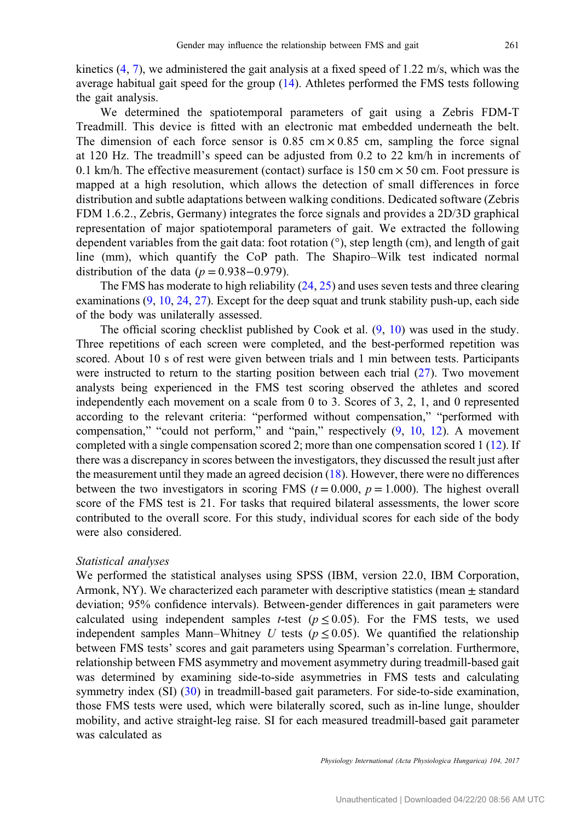kinetics  $(4, 7)$  $(4, 7)$  $(4, 7)$  $(4, 7)$ , we administered the gait analysis at a fixed speed of 1.22 m/s, which was the average habitual gait speed for the group [\(14](#page-10-0)). Athletes performed the FMS tests following the gait analysis.

We determined the spatiotemporal parameters of gait using a Zebris FDM-T Treadmill. This device is fitted with an electronic mat embedded underneath the belt. The dimension of each force sensor is  $0.85 \text{ cm} \times 0.85 \text{ cm}$ , sampling the force signal at 120 Hz. The treadmill's speed can be adjusted from 0.2 to 22 km/h in increments of 0.1 km/h. The effective measurement (contact) surface is 150 cm  $\times$  50 cm. Foot pressure is mapped at a high resolution, which allows the detection of small differences in force distribution and subtle adaptations between walking conditions. Dedicated software (Zebris FDM 1.6.2., Zebris, Germany) integrates the force signals and provides a 2D/3D graphical representation of major spatiotemporal parameters of gait. We extracted the following dependent variables from the gait data: foot rotation (°), step length (cm), and length of gait line (mm), which quantify the CoP path. The Shapiro–Wilk test indicated normal distribution of the data ( $p = 0.938 - 0.979$ ).

The FMS has moderate to high reliability ([24,](#page-10-0) [25\)](#page-10-0) and uses seven tests and three clearing examinations [\(9](#page-10-0), [10](#page-10-0), [24](#page-10-0), [27](#page-10-0)). Except for the deep squat and trunk stability push-up, each side of the body was unilaterally assessed.

The official scoring checklist published by Cook et al. [\(9](#page-10-0), [10](#page-10-0)) was used in the study. Three repetitions of each screen were completed, and the best-performed repetition was scored. About 10 s of rest were given between trials and 1 min between tests. Participants were instructed to return to the starting position between each trial [\(27](#page-10-0)). Two movement analysts being experienced in the FMS test scoring observed the athletes and scored independently each movement on a scale from 0 to 3. Scores of 3, 2, 1, and 0 represented according to the relevant criteria: "performed without compensation," "performed with compensation," "could not perform," and "pain," respectively ([9,](#page-10-0) [10](#page-10-0), [12](#page-10-0)). A movement completed with a single compensation scored 2; more than one compensation scored 1 ([12\)](#page-10-0). If there was a discrepancy in scores between the investigators, they discussed the result just after the measurement until they made an agreed decision ([18\)](#page-10-0). However, there were no differences between the two investigators in scoring FMS ( $t = 0.000$ ,  $p = 1.000$ ). The highest overall score of the FMS test is 21. For tasks that required bilateral assessments, the lower score contributed to the overall score. For this study, individual scores for each side of the body were also considered.

## Statistical analyses

We performed the statistical analyses using SPSS (IBM, version 22.0, IBM Corporation, Armonk, NY). We characterized each parameter with descriptive statistics (mean  $\pm$  standard deviation; 95% confidence intervals). Between-gender differences in gait parameters were calculated using independent samples t-test ( $p \le 0.05$ ). For the FMS tests, we used independent samples Mann–Whitney U tests ( $p \le 0.05$ ). We quantified the relationship between FMS tests' scores and gait parameters using Spearman's correlation. Furthermore, relationship between FMS asymmetry and movement asymmetry during treadmill-based gait was determined by examining side-to-side asymmetries in FMS tests and calculating symmetry index (SI) ([30\)](#page-11-0) in treadmill-based gait parameters. For side-to-side examination, those FMS tests were used, which were bilaterally scored, such as in-line lunge, shoulder mobility, and active straight-leg raise. SI for each measured treadmill-based gait parameter was calculated as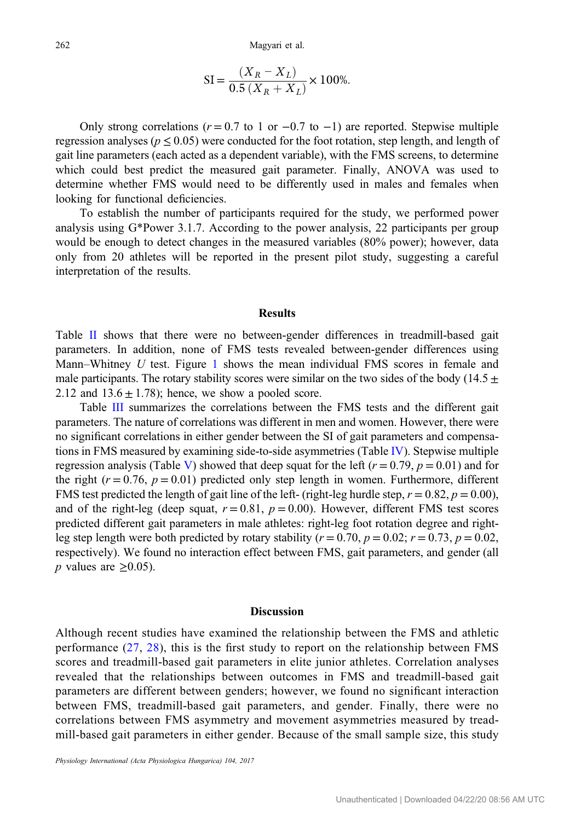Magyari et al.  
\nSI = 
$$
\frac{(X_R - X_L)}{0.5 (X_R + X_L)} \times 100\%.
$$

Only strong correlations ( $r = 0.7$  to 1 or  $-0.7$  to  $-1$ ) are reported. Stepwise multiple regression analyses ( $p < 0.05$ ) were conducted for the foot rotation, step length, and length of gait line parameters (each acted as a dependent variable), with the FMS screens, to determine which could best predict the measured gait parameter. Finally, ANOVA was used to determine whether FMS would need to be differently used in males and females when looking for functional deficiencies.

To establish the number of participants required for the study, we performed power analysis using G\*Power 3.1.7. According to the power analysis, 22 participants per group would be enough to detect changes in the measured variables (80% power); however, data only from 20 athletes will be reported in the present pilot study, suggesting a careful interpretation of the results.

#### **Results**

Table [II](#page-5-0) shows that there were no between-gender differences in treadmill-based gait parameters. In addition, none of FMS tests revealed between-gender differences using Mann–Whitney U test. Figure [1](#page-6-0) shows the mean individual FMS scores in female and male participants. The rotary stability scores were similar on the two sides of the body (14.5  $\pm$ 2.12 and  $13.6 \pm 1.78$ ; hence, we show a pooled score.

Table [III](#page-7-0) summarizes the correlations between the FMS tests and the different gait parameters. The nature of correlations was different in men and women. However, there were no significant correlations in either gender between the SI of gait parameters and compensations in FMS measured by examining side-to-side asymmetries (Table [IV](#page-8-0)). Stepwise multiple regression analysis (Table [V](#page-8-0)) showed that deep squat for the left  $(r = 0.79, p = 0.01)$  and for the right ( $r = 0.76$ ,  $p = 0.01$ ) predicted only step length in women. Furthermore, different FMS test predicted the length of gait line of the left- (right-leg hurdle step,  $r = 0.82$ ,  $p = 0.00$ ), and of the right-leg (deep squat,  $r = 0.81$ ,  $p = 0.00$ ). However, different FMS test scores predicted different gait parameters in male athletes: right-leg foot rotation degree and rightleg step length were both predicted by rotary stability ( $r = 0.70$ ,  $p = 0.02$ ;  $r = 0.73$ ,  $p = 0.02$ , respectively). We found no interaction effect between FMS, gait parameters, and gender (all *p* values are  $\geq$ 0.05).

#### **Discussion**

Although recent studies have examined the relationship between the FMS and athletic performance ([27](#page-10-0), [28](#page-10-0)), this is the first study to report on the relationship between FMS scores and treadmill-based gait parameters in elite junior athletes. Correlation analyses revealed that the relationships between outcomes in FMS and treadmill-based gait parameters are different between genders; however, we found no significant interaction between FMS, treadmill-based gait parameters, and gender. Finally, there were no correlations between FMS asymmetry and movement asymmetries measured by treadmill-based gait parameters in either gender. Because of the small sample size, this study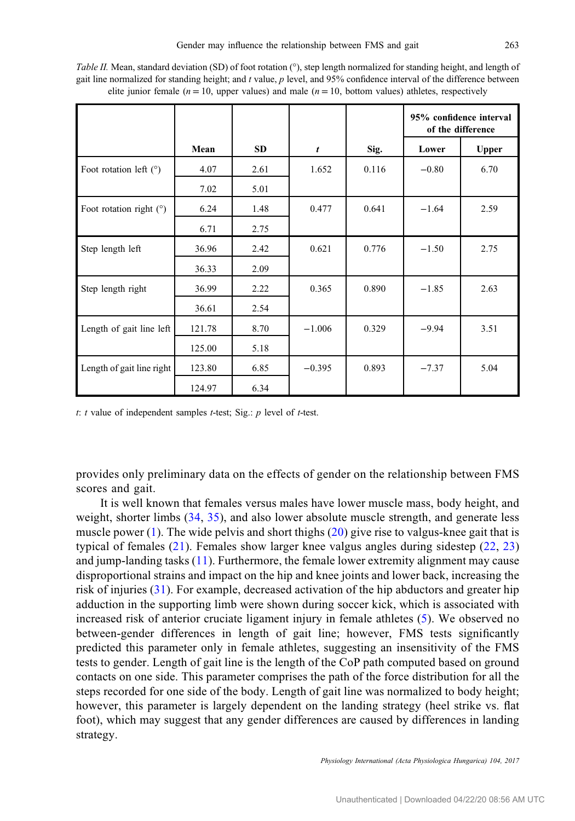<span id="page-5-0"></span>Table II. Mean, standard deviation (SD) of foot rotation (°), step length normalized for standing height, and length of gait line normalized for standing height; and t value, p level, and 95% confidence interval of the difference between elite junior female ( $n = 10$ , upper values) and male ( $n = 10$ , bottom values) athletes, respectively

|                           |        |           |                  |       |         | 95% confidence interval<br>of the difference |
|---------------------------|--------|-----------|------------------|-------|---------|----------------------------------------------|
|                           | Mean   | <b>SD</b> | $\boldsymbol{t}$ | Sig.  | Lower   | <b>Upper</b>                                 |
| Foot rotation left $(°)$  | 4.07   | 2.61      | 1.652            | 0.116 | $-0.80$ | 6.70                                         |
|                           | 7.02   | 5.01      |                  |       |         |                                              |
| Foot rotation right $(°)$ | 6.24   | 1.48      | 0.477            | 0.641 | $-1.64$ | 2.59                                         |
|                           | 6.71   | 2.75      |                  |       |         |                                              |
| Step length left          | 36.96  | 2.42      | 0.621            | 0.776 | $-1.50$ | 2.75                                         |
|                           | 36.33  | 2.09      |                  |       |         |                                              |
| Step length right         | 36.99  | 2.22      | 0.365            | 0.890 | $-1.85$ | 2.63                                         |
|                           | 36.61  | 2.54      |                  |       |         |                                              |
| Length of gait line left  | 121.78 | 8.70      | $-1.006$         | 0.329 | $-9.94$ | 3.51                                         |
|                           | 125.00 | 5.18      |                  |       |         |                                              |
| Length of gait line right | 123.80 | 6.85      | $-0.395$         | 0.893 | $-7.37$ | 5.04                                         |
|                           | 124.97 | 6.34      |                  |       |         |                                              |

t: t value of independent samples t-test; Sig.:  $p$  level of t-test.

provides only preliminary data on the effects of gender on the relationship between FMS scores and gait.

It is well known that females versus males have lower muscle mass, body height, and weight, shorter limbs ([34](#page-11-0), [35\)](#page-11-0), and also lower absolute muscle strength, and generate less muscle power  $(1)$  $(1)$ . The wide pelvis and short thighs  $(20)$  $(20)$  give rise to valgus-knee gait that is typical of females [\(21](#page-10-0)). Females show larger knee valgus angles during sidestep ([22,](#page-10-0) [23\)](#page-10-0) and jump-landing tasks [\(11](#page-10-0)). Furthermore, the female lower extremity alignment may cause disproportional strains and impact on the hip and knee joints and lower back, increasing the risk of injuries ([31\)](#page-11-0). For example, decreased activation of the hip abductors and greater hip adduction in the supporting limb were shown during soccer kick, which is associated with increased risk of anterior cruciate ligament injury in female athletes ([5\)](#page-10-0). We observed no between-gender differences in length of gait line; however, FMS tests significantly predicted this parameter only in female athletes, suggesting an insensitivity of the FMS tests to gender. Length of gait line is the length of the CoP path computed based on ground contacts on one side. This parameter comprises the path of the force distribution for all the steps recorded for one side of the body. Length of gait line was normalized to body height; however, this parameter is largely dependent on the landing strategy (heel strike vs. flat foot), which may suggest that any gender differences are caused by differences in landing strategy.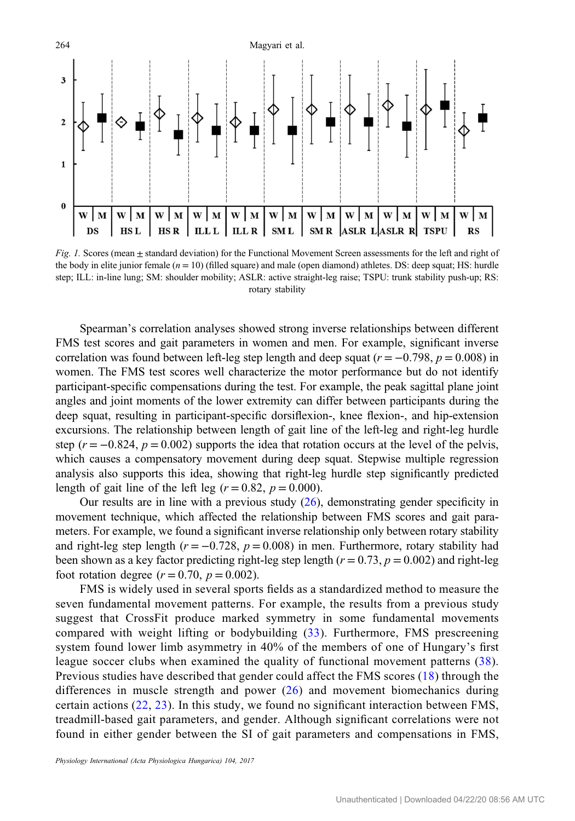<span id="page-6-0"></span>

Fig. 1. Scores (mean  $\pm$  standard deviation) for the Functional Movement Screen assessments for the left and right of the body in elite junior female  $(n = 10)$  (filled square) and male (open diamond) athletes. DS: deep squat; HS: hurdle step; ILL: in-line lung; SM: shoulder mobility; ASLR: active straight-leg raise; TSPU: trunk stability push-up; RS: rotary stability

Spearman's correlation analyses showed strong inverse relationships between different FMS test scores and gait parameters in women and men. For example, significant inverse correlation was found between left-leg step length and deep squat  $(r = -0.798, p = 0.008)$  in women. The FMS test scores well characterize the motor performance but do not identify participant-specific compensations during the test. For example, the peak sagittal plane joint angles and joint moments of the lower extremity can differ between participants during the deep squat, resulting in participant-specific dorsiflexion-, knee flexion-, and hip-extension excursions. The relationship between length of gait line of the left-leg and right-leg hurdle step  $(r = -0.824, p = 0.002)$  supports the idea that rotation occurs at the level of the pelvis, which causes a compensatory movement during deep squat. Stepwise multiple regression analysis also supports this idea, showing that right-leg hurdle step significantly predicted length of gait line of the left leg ( $r = 0.82$ ,  $p = 0.000$ ).

Our results are in line with a previous study  $(26)$  $(26)$ , demonstrating gender specificity in movement technique, which affected the relationship between FMS scores and gait parameters. For example, we found a significant inverse relationship only between rotary stability and right-leg step length ( $r = -0.728$ ,  $p = 0.008$ ) in men. Furthermore, rotary stability had been shown as a key factor predicting right-leg step length  $(r = 0.73, p = 0.002)$  and right-leg foot rotation degree  $(r = 0.70, p = 0.002)$ .

FMS is widely used in several sports fields as a standardized method to measure the seven fundamental movement patterns. For example, the results from a previous study suggest that CrossFit produce marked symmetry in some fundamental movements compared with weight lifting or bodybuilding ([33](#page-11-0)). Furthermore, FMS prescreening system found lower limb asymmetry in 40% of the members of one of Hungary's first league soccer clubs when examined the quality of functional movement patterns ([38](#page-11-0)). Previous studies have described that gender could affect the FMS scores ([18\)](#page-10-0) through the differences in muscle strength and power ([26](#page-10-0)) and movement biomechanics during certain actions ([22,](#page-10-0) [23\)](#page-10-0). In this study, we found no significant interaction between FMS, treadmill-based gait parameters, and gender. Although significant correlations were not found in either gender between the SI of gait parameters and compensations in FMS,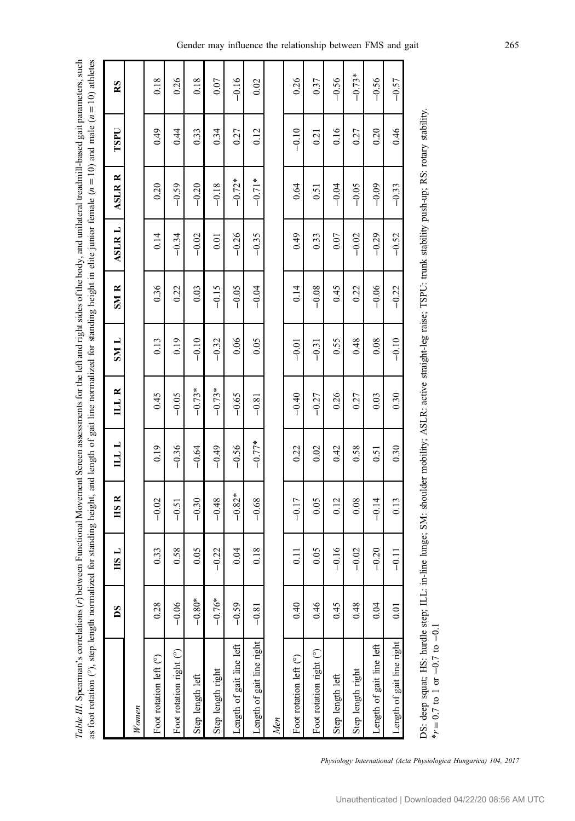<span id="page-7-0"></span>Table III. Spearman's correlations (r) between Functional Movement Screen assessments for the left and right sides of the body, and unilateral treadmill-based gait parameters, such as foot rotation (°), step length normalized for standing height, and length of gait line normalized for standing height in elite junior female ( $n = 10$ ) and male ( $n = 10$ ) athletes Table III. Spearman's correlations (r) between Functional Movement Screen assessments for the left and right sides of the body, and unilateral treadmill-based gait parameters, such as foot rotation (°), step length normalized for standing height, and length of gait line normalized for standing height in elite junior female (*n* = 10) and male (*n* = 10) athletes

|                                    | $\overline{\mathbf{S}}$ | <b>HSL</b> | <b>HSR</b>                                                                                                       | LLL      | ILL R    | <b>T NIS</b> | SM <sub>R</sub> | <b>ASLRL</b> | <b>ASLR R</b> | TSPU    | RS       |
|------------------------------------|-------------------------|------------|------------------------------------------------------------------------------------------------------------------|----------|----------|--------------|-----------------|--------------|---------------|---------|----------|
| Women                              |                         |            |                                                                                                                  |          |          |              |                 |              |               |         |          |
| Foot rotation left (°)             | 0.28                    | 0.33       | $-0.02$                                                                                                          | 0.19     | 0.45     | 0.13         | 0.36            | 0.14         | 0.20          | 0.49    | 0.18     |
| Foot rotation right $(°)$          | $-0.06$                 | 0.58       | $-0.51$                                                                                                          | $-0.36$  | $-0.05$  | 0.19         | 0.22            | $-0.34$      | $-0.59$       | 0.44    | 0.26     |
| Step length left                   | ×<br>$-0.80$            | 0.05       | $-0.30$                                                                                                          | $-0.64$  | $-0.73*$ | $-0.10$      | 0.03            | $-0.02$      | $-0.20$       | 0.33    | 0.18     |
| Step length right                  | $-0.76*$                | $-0.22$    | $-0.48$                                                                                                          | $-0.49$  | $-0.73*$ | $-0.32$      | $-0.15$         | 0.01         | $-0.18$       | 0.34    | 0.07     |
| Length of gait line left           | $-0.59$                 | 0.04       | $-0.82*$                                                                                                         | $-0.56$  | $-0.65$  | 0.06         | $-0.05$         | $-0.26$      | $-0.72*$      | 0.27    | $-0.16$  |
| Length of gait line right          | $-0.81$                 | 0.18       | $-0.68$                                                                                                          | $-0.77*$ | $-0.81$  | 0.05         | $-0.04$         | $-0.35$      | $-0.71*$      | 0.12    | 0.02     |
| Men                                |                         |            |                                                                                                                  |          |          |              |                 |              |               |         |          |
| Foot rotation left (°)             | 0.40                    | 0.11       | $-0.17$                                                                                                          | 0.22     | $-0.40$  | $-0.01$      | 0.14            | 0.49         | 0.64          | $-0.10$ | 0.26     |
| Foot rotation right $(°)$          | 0.46                    | 0.05       | 0.05                                                                                                             | 0.02     | $-0.27$  | $-0.31$      | $-0.08$         | 0.33         | 0.51          | 0.21    | 0.37     |
| Step length left                   | 0.45                    | $-0.16$    | 0.12                                                                                                             | 0.42     | 0.26     | 0.55         | 0.45            | 0.07         | $-0.04$       | 0.16    | $-0.56$  |
| Step length right                  | 0.48                    | $-0.02$    | 0.08                                                                                                             | 0.58     | 0.27     | 0.48         | 0.22            | $-0.02$      | $-0.05$       | 0.27    | $-0.73*$ |
| Length of gait line left           | 0.04                    | $-0.20$    | $-0.14$                                                                                                          | 0.51     | 0.03     | 0.08         | $-0.06$         | $-0.29$      | $-0.09$       | 0.20    | $-0.56$  |
| Length of gait line right          | 0.01                    | $-0.11$    | 0.13                                                                                                             | 0.30     | 0.30     | $-0.10$      | $-0.22$         | $-0.52$      | $-0.33$       | 0.46    | $-0.57$  |
| DC: door generate HC: bundle atom. |                         |            | II also line CM should as anothing ACID, even should be accorded to TCDII that the statute and DC actors station |          |          |              |                 |              |               |         |          |

DS: deep squat; HS: hurdle step; ILL: in-line lunge; SM: shoulder mobility; ASLR: active straight-leg raise; TSPU: trunk stability push-up; RS: rotary stability.  $*_{r} = 0.7$  to 1 or  $-0.7$  to  $-0.1$  $*_{r=0.7}$  to 1 or  $-0.7$  to  $-0.1$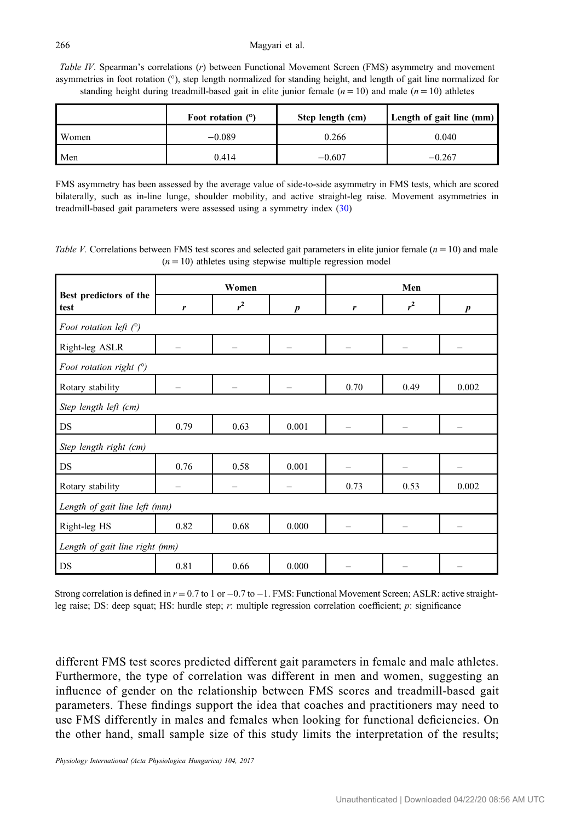#### <span id="page-8-0"></span>266 Magyari et al.

Table IV. Spearman's correlations (r) between Functional Movement Screen (FMS) asymmetry and movement asymmetries in foot rotation (°), step length normalized for standing height, and length of gait line normalized for standing height during treadmill-based gait in elite junior female ( $n = 10$ ) and male ( $n = 10$ ) athletes

|       | Foot rotation $(°)$ | Step length (cm) | Length of gait line $(mm)$ |  |
|-------|---------------------|------------------|----------------------------|--|
| Women | $-0.089$            | 0.266            | 0.040                      |  |
| Men   | 0.414               | $-0.607$         | $-0.267$                   |  |

FMS asymmetry has been assessed by the average value of side-to-side asymmetry in FMS tests, which are scored bilaterally, such as in-line lunge, shoulder mobility, and active straight-leg raise. Movement asymmetries in treadmill-based gait parameters were assessed using a symmetry index ([30\)](#page-11-0)

Table V. Correlations between FMS test scores and selected gait parameters in elite junior female  $(n = 10)$  and male  $(n = 10)$  athletes using stepwise multiple regression model

|                                |      | Women                    |                          | Men             |       |                  |  |
|--------------------------------|------|--------------------------|--------------------------|-----------------|-------|------------------|--|
| Best predictors of the<br>test | r    | $r^2$                    | $\boldsymbol{p}$         | r               | $r^2$ | $\boldsymbol{p}$ |  |
| Foot rotation left $(°)$       |      |                          |                          |                 |       |                  |  |
| Right-leg ASLR                 |      | $\overline{\phantom{0}}$ | $\overline{\phantom{0}}$ |                 |       |                  |  |
| Foot rotation right $(°)$      |      |                          |                          |                 |       |                  |  |
| Rotary stability               |      | $\overline{\phantom{0}}$ |                          | 0.70            | 0.49  | 0.002            |  |
| Step length left (cm)          |      |                          |                          |                 |       |                  |  |
| DS                             | 0.79 | 0.63                     | 0.001                    | $\qquad \qquad$ | -     |                  |  |
| Step length right (cm)         |      |                          |                          |                 |       |                  |  |
| DS                             | 0.76 | 0.58                     | 0.001                    | -               | -     | -                |  |
| Rotary stability               |      |                          |                          | 0.73            | 0.53  | 0.002            |  |
| Length of gait line left (mm)  |      |                          |                          |                 |       |                  |  |
| Right-leg HS                   | 0.82 | 0.68                     | 0.000                    |                 |       |                  |  |
| Length of gait line right (mm) |      |                          |                          |                 |       |                  |  |
| DS                             | 0.81 | 0.66                     | 0.000                    |                 |       |                  |  |

Strong correlation is defined in  $r = 0.7$  to 1 or  $-0.7$  to  $-1$ . FMS: Functional Movement Screen; ASLR: active straightleg raise; DS: deep squat; HS: hurdle step; r: multiple regression correlation coefficient; p: significance

different FMS test scores predicted different gait parameters in female and male athletes. Furthermore, the type of correlation was different in men and women, suggesting an influence of gender on the relationship between FMS scores and treadmill-based gait parameters. These findings support the idea that coaches and practitioners may need to use FMS differently in males and females when looking for functional deficiencies. On the other hand, small sample size of this study limits the interpretation of the results;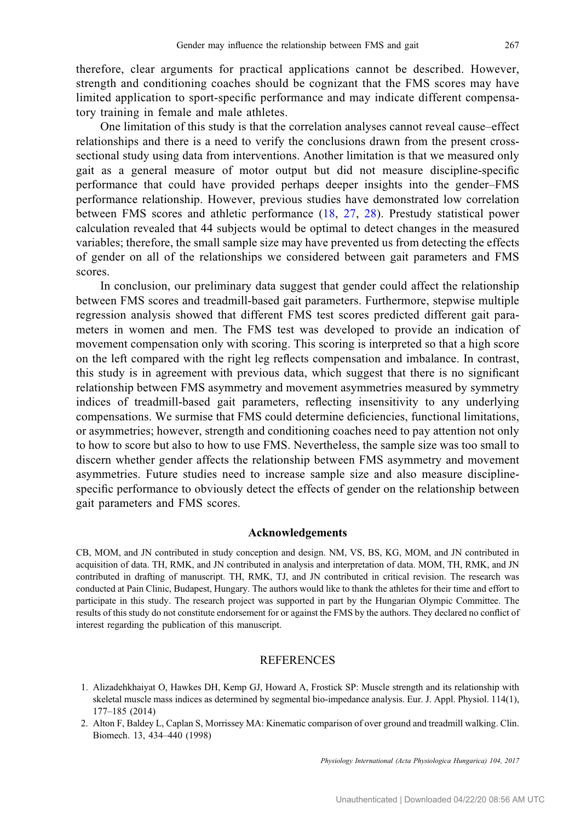<span id="page-9-0"></span>therefore, clear arguments for practical applications cannot be described. However, strength and conditioning coaches should be cognizant that the FMS scores may have limited application to sport-specific performance and may indicate different compensatory training in female and male athletes.

One limitation of this study is that the correlation analyses cannot reveal cause–effect relationships and there is a need to verify the conclusions drawn from the present crosssectional study using data from interventions. Another limitation is that we measured only gait as a general measure of motor output but did not measure discipline-specific performance that could have provided perhaps deeper insights into the gender–FMS performance relationship. However, previous studies have demonstrated low correlation between FMS scores and athletic performance [\(18,](#page-10-0) [27,](#page-10-0) [28\)](#page-10-0). Prestudy statistical power calculation revealed that 44 subjects would be optimal to detect changes in the measured variables; therefore, the small sample size may have prevented us from detecting the effects of gender on all of the relationships we considered between gait parameters and FMS scores.

In conclusion, our preliminary data suggest that gender could affect the relationship between FMS scores and treadmill-based gait parameters. Furthermore, stepwise multiple regression analysis showed that different FMS test scores predicted different gait parameters in women and men. The FMS test was developed to provide an indication of movement compensation only with scoring. This scoring is interpreted so that a high score on the left compared with the right leg reflects compensation and imbalance. In contrast, this study is in agreement with previous data, which suggest that there is no significant relationship between FMS asymmetry and movement asymmetries measured by symmetry indices of treadmill-based gait parameters, reflecting insensitivity to any underlying compensations. We surmise that FMS could determine deficiencies, functional limitations, or asymmetries; however, strength and conditioning coaches need to pay attention not only to how to score but also to how to use FMS. Nevertheless, the sample size was too small to discern whether gender affects the relationship between FMS asymmetry and movement asymmetries. Future studies need to increase sample size and also measure disciplinespecific performance to obviously detect the effects of gender on the relationship between gait parameters and FMS scores.

#### Acknowledgements

CB, MOM, and JN contributed in study conception and design. NM, VS, BS, KG, MOM, and JN contributed in acquisition of data. TH, RMK, and JN contributed in analysis and interpretation of data. MOM, TH, RMK, and JN contributed in drafting of manuscript. TH, RMK, TJ, and JN contributed in critical revision. The research was conducted at Pain Clinic, Budapest, Hungary. The authors would like to thank the athletes for their time and effort to participate in this study. The research project was supported in part by the Hungarian Olympic Committee. The results of this study do not constitute endorsement for or against the FMS by the authors. They declared no conflict of interest regarding the publication of this manuscript.

## **REFERENCES**

- 1. Alizadehkhaiyat O, Hawkes DH, Kemp GJ, Howard A, Frostick SP: Muscle strength and its relationship with skeletal muscle mass indices as determined by segmental bio-impedance analysis. Eur. J. Appl. Physiol. 114(1), 177–185 (2014)
- 2. Alton F, Baldey L, Caplan S, Morrissey MA: Kinematic comparison of over ground and treadmill walking. Clin. Biomech. 13, 434–440 (1998)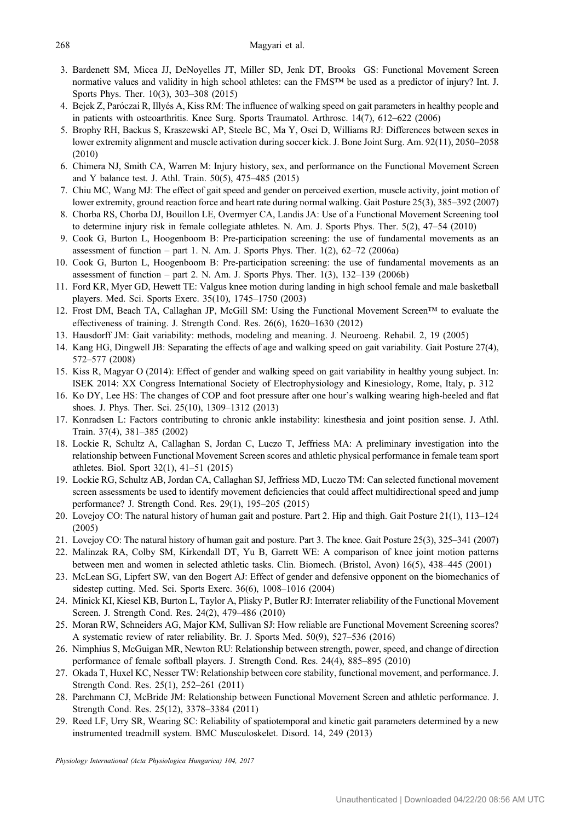- <span id="page-10-0"></span>3. Bardenett SM, Micca JJ, DeNoyelles JT, Miller SD, Jenk DT, Brooks GS: Functional Movement Screen normative values and validity in high school athletes: can the FMS™ be used as a predictor of injury? Int. J. Sports Phys. Ther. 10(3), 303–308 (2015)
- 4. Bejek Z, Paróczai R, Illyés A, Kiss RM: The influence of walking speed on gait parameters in healthy people and in patients with osteoarthritis. Knee Surg. Sports Traumatol. Arthrosc. 14(7), 612–622 (2006)
- 5. Brophy RH, Backus S, Kraszewski AP, Steele BC, Ma Y, Osei D, Williams RJ: Differences between sexes in lower extremity alignment and muscle activation during soccer kick. J. Bone Joint Surg. Am. 92(11), 2050–2058 (2010)
- 6. Chimera NJ, Smith CA, Warren M: Injury history, sex, and performance on the Functional Movement Screen and Y balance test. J. Athl. Train. 50(5), 475–485 (2015)
- 7. Chiu MC, Wang MJ: The effect of gait speed and gender on perceived exertion, muscle activity, joint motion of lower extremity, ground reaction force and heart rate during normal walking. Gait Posture 25(3), 385–392 (2007)
- 8. Chorba RS, Chorba DJ, Bouillon LE, Overmyer CA, Landis JA: Use of a Functional Movement Screening tool to determine injury risk in female collegiate athletes. N. Am. J. Sports Phys. Ther. 5(2), 47–54 (2010)
- 9. Cook G, Burton L, Hoogenboom B: Pre-participation screening: the use of fundamental movements as an assessment of function – part 1. N. Am. J. Sports Phys. Ther.  $1(2)$ ,  $62-72$  (2006a)
- 10. Cook G, Burton L, Hoogenboom B: Pre-participation screening: the use of fundamental movements as an assessment of function – part 2. N. Am. J. Sports Phys. Ther.  $1(3)$ ,  $132-139$  (2006b)
- 11. Ford KR, Myer GD, Hewett TE: Valgus knee motion during landing in high school female and male basketball players. Med. Sci. Sports Exerc. 35(10), 1745–1750 (2003)
- 12. Frost DM, Beach TA, Callaghan JP, McGill SM: Using the Functional Movement Screen™ to evaluate the effectiveness of training. J. Strength Cond. Res. 26(6), 1620–1630 (2012)
- 13. Hausdorff JM: Gait variability: methods, modeling and meaning. J. Neuroeng. Rehabil. 2, 19 (2005)
- 14. Kang HG, Dingwell JB: Separating the effects of age and walking speed on gait variability. Gait Posture 27(4), 572–577 (2008)
- 15. Kiss R, Magyar O (2014): Effect of gender and walking speed on gait variability in healthy young subject. In: ISEK 2014: XX Congress International Society of Electrophysiology and Kinesiology, Rome, Italy, p. 312
- 16. Ko DY, Lee HS: The changes of COP and foot pressure after one hour's walking wearing high-heeled and flat shoes. J. Phys. Ther. Sci. 25(10), 1309–1312 (2013)
- 17. Konradsen L: Factors contributing to chronic ankle instability: kinesthesia and joint position sense. J. Athl. Train. 37(4), 381–385 (2002)
- 18. Lockie R, Schultz A, Callaghan S, Jordan C, Luczo T, Jeffriess MA: A preliminary investigation into the relationship between Functional Movement Screen scores and athletic physical performance in female team sport athletes. Biol. Sport 32(1), 41–51 (2015)
- 19. Lockie RG, Schultz AB, Jordan CA, Callaghan SJ, Jeffriess MD, Luczo TM: Can selected functional movement screen assessments be used to identify movement deficiencies that could affect multidirectional speed and jump performance? J. Strength Cond. Res. 29(1), 195–205 (2015)
- 20. Lovejoy CO: The natural history of human gait and posture. Part 2. Hip and thigh. Gait Posture 21(1), 113–124 (2005)
- 21. Lovejoy CO: The natural history of human gait and posture. Part 3. The knee. Gait Posture 25(3), 325–341 (2007)
- 22. Malinzak RA, Colby SM, Kirkendall DT, Yu B, Garrett WE: A comparison of knee joint motion patterns between men and women in selected athletic tasks. Clin. Biomech. (Bristol, Avon) 16(5), 438–445 (2001)
- 23. McLean SG, Lipfert SW, van den Bogert AJ: Effect of gender and defensive opponent on the biomechanics of sidestep cutting. Med. Sci. Sports Exerc. 36(6), 1008–1016 (2004)
- 24. Minick KI, Kiesel KB, Burton L, Taylor A, Plisky P, Butler RJ: Interrater reliability of the Functional Movement Screen. J. Strength Cond. Res. 24(2), 479–486 (2010)
- 25. Moran RW, Schneiders AG, Major KM, Sullivan SJ: How reliable are Functional Movement Screening scores? A systematic review of rater reliability. Br. J. Sports Med. 50(9), 527–536 (2016)
- 26. Nimphius S, McGuigan MR, Newton RU: Relationship between strength, power, speed, and change of direction performance of female softball players. J. Strength Cond. Res. 24(4), 885–895 (2010)
- 27. Okada T, Huxel KC, Nesser TW: Relationship between core stability, functional movement, and performance. J. Strength Cond. Res. 25(1), 252–261 (2011)
- 28. Parchmann CJ, McBride JM: Relationship between Functional Movement Screen and athletic performance. J. Strength Cond. Res. 25(12), 3378–3384 (2011)
- 29. Reed LF, Urry SR, Wearing SC: Reliability of spatiotemporal and kinetic gait parameters determined by a new instrumented treadmill system. BMC Musculoskelet. Disord. 14, 249 (2013)